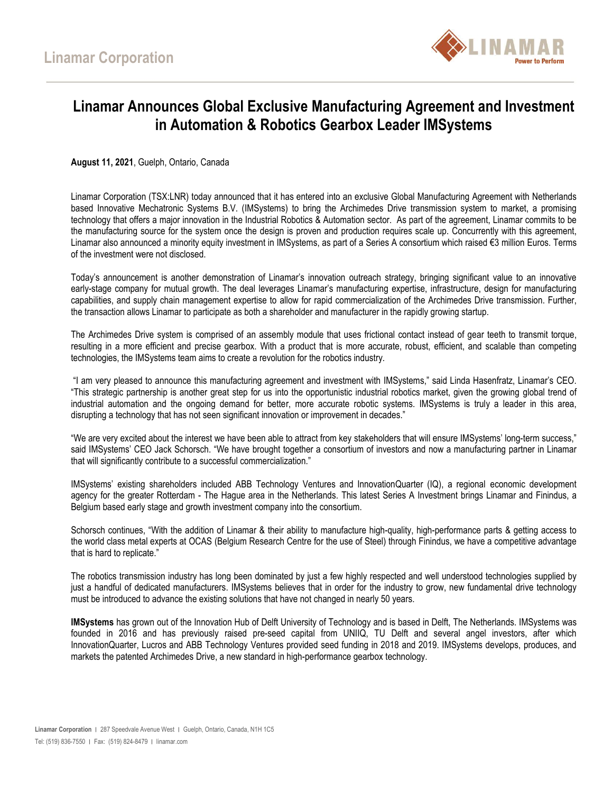

## **Linamar Announces Global Exclusive Manufacturing Agreement and Investment in Automation & Robotics Gearbox Leader IMSystems**

**August 11, 2021**, Guelph, Ontario, Canada

Linamar Corporation (TSX:LNR) today announced that it has entered into an exclusive Global Manufacturing Agreement with Netherlands based Innovative Mechatronic Systems B.V. (IMSystems) to bring the Archimedes Drive transmission system to market, a promising technology that offers a major innovation in the Industrial Robotics & Automation sector. As part of the agreement, Linamar commits to be the manufacturing source for the system once the design is proven and production requires scale up. Concurrently with this agreement, Linamar also announced a minority equity investment in IMSystems, as part of a Series A consortium which raised €3 million Euros. Terms of the investment were not disclosed.

Today's announcement is another demonstration of Linamar's innovation outreach strategy, bringing significant value to an innovative early-stage company for mutual growth. The deal leverages Linamar's manufacturing expertise, infrastructure, design for manufacturing capabilities, and supply chain management expertise to allow for rapid commercialization of the Archimedes Drive transmission. Further, the transaction allows Linamar to participate as both a shareholder and manufacturer in the rapidly growing startup.

The Archimedes Drive system is comprised of an assembly module that uses frictional contact instead of gear teeth to transmit torque, resulting in a more efficient and precise gearbox. With a product that is more accurate, robust, efficient, and scalable than competing technologies, the IMSystems team aims to create a revolution for the robotics industry.

"I am very pleased to announce this manufacturing agreement and investment with IMSystems," said Linda Hasenfratz, Linamar's CEO. "This strategic partnership is another great step for us into the opportunistic industrial robotics market, given the growing global trend of industrial automation and the ongoing demand for better, more accurate robotic systems. IMSystems is truly a leader in this area, disrupting a technology that has not seen significant innovation or improvement in decades."

"We are very excited about the interest we have been able to attract from key stakeholders that will ensure IMSystems' long-term success," said IMSystems' CEO Jack Schorsch. "We have brought together a consortium of investors and now a manufacturing partner in Linamar that will significantly contribute to a successful commercialization."

IMSystems' existing shareholders included ABB Technology Ventures and InnovationQuarter (IQ), a regional economic development agency for the greater Rotterdam - The Hague area in the Netherlands. This latest Series A Investment brings Linamar and Finindus, a Belgium based early stage and growth investment company into the consortium.

Schorsch continues, "With the addition of Linamar & their ability to manufacture high-quality, high-performance parts & getting access to the world class metal experts at OCAS (Belgium Research Centre for the use of Steel) through Finindus, we have a competitive advantage that is hard to replicate."

The robotics transmission industry has long been dominated by just a few highly respected and well understood technologies supplied by just a handful of dedicated manufacturers. IMSystems believes that in order for the industry to grow, new fundamental drive technology must be introduced to advance the existing solutions that have not changed in nearly 50 years.

**IMSystems** has grown out of the Innovation Hub of Delft University of Technology and is based in Delft, The Netherlands. IMSystems was founded in 2016 and has previously raised pre-seed capital from UNIIQ, TU Delft and several angel investors, after which InnovationQuarter, Lucros and ABB Technology Ventures provided seed funding in 2018 and 2019. IMSystems develops, produces, and markets the patented Archimedes Drive, a new standard in high-performance gearbox technology.